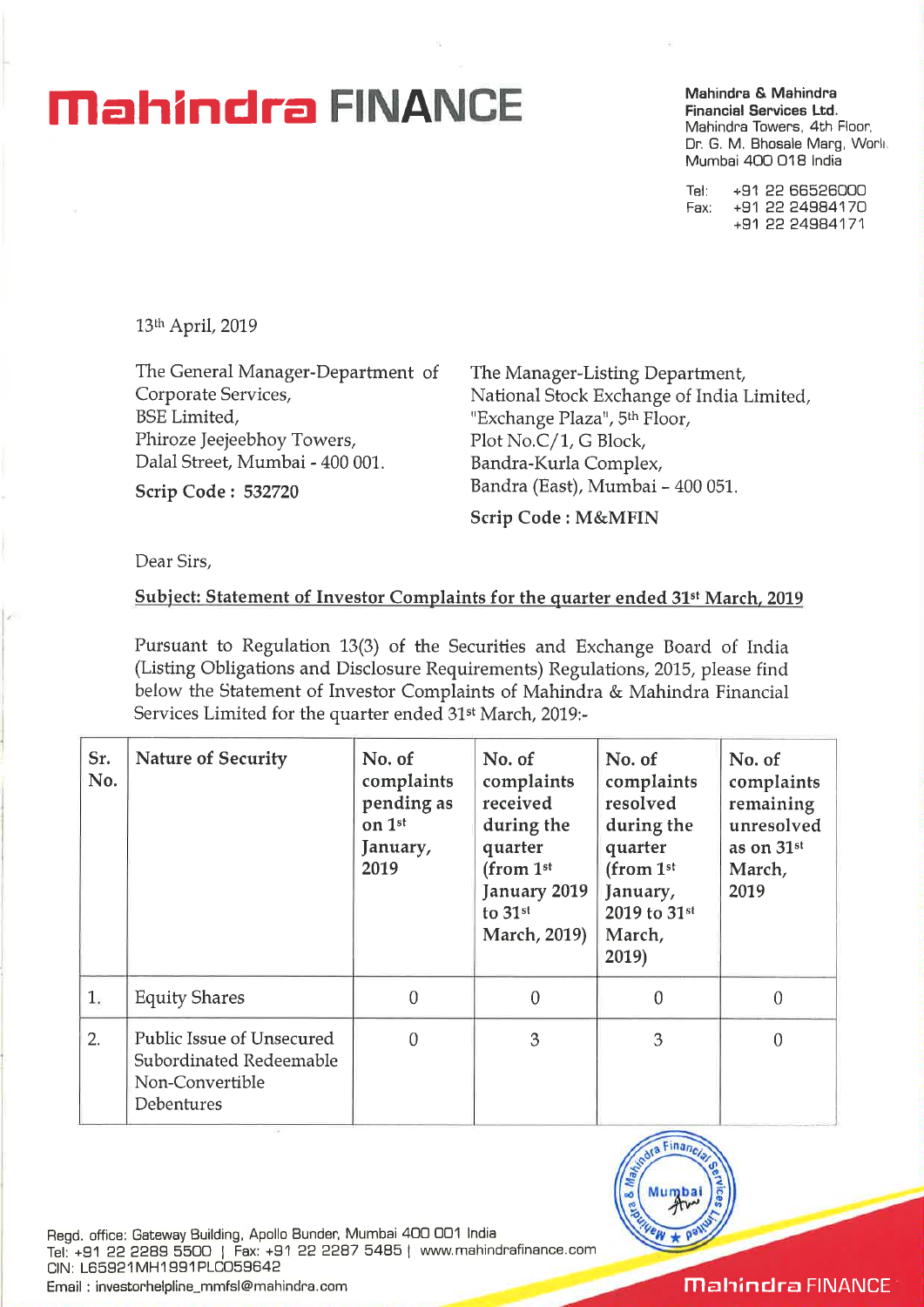## **Mahindra <b>Andre EINANCE** *Mahindra & Mahindra Conduction**Einancial Services Ltd.*

**Financial Services Ltd.**  Mahindra Towers, 4th Floor, Dr. G. M. Bhosale Marg, Worli. Mumbai 400 018 India

Tel: +91 22 66526000 Fax: +91 22 24984170 +91 22 24984171

13th April, 2019

The General Manager-Department Corporate Services, BSE Limited, Phiroze Jeejeebhoy Towers, Dalal Street, Mumbai - 400 001.

**Scrip Code : 532720** 

The Manager-Listing Department, National Stock Exchange of India Limited, "Exchange Plaza", 5<sup>th</sup> Floor, Plot No.C/1, G Block, Bandra-Kurla Complex, Bandra (East), Mumbai - 400 051.

**Scrip Code : M&MFIN** 

Dear Sirs,

## **<u>Subject: Statement of Investor Complaints for the quarter ended 31<sup>st</sup> March, 2019</u>**

Pursuant to Regulation 13(3) of the Securities and Exchange Board of India (Listing Obligations and Disclosure Requirements) Regulations, 2015, please find below the Statement of Investor Complaints of Mahindra & Mahindra Financial Services Limited for the quarter ended 31st March, 2019:-

| Sr.<br>No. | <b>Nature of Security</b>                                                             | No. of<br>complaints<br>pending as<br>on 1st<br>January,<br>2019 | No. of<br>complaints<br>received<br>during the<br>quarter<br>(from $1st$<br>January 2019<br>to 31st<br><b>March, 2019)</b> | No. of<br>complaints<br>resolved<br>during the<br>quarter<br>(from $1st$<br>January,<br>2019 to 31st<br>March,<br>2019) | No. of<br>complaints<br>remaining<br>unresolved<br>as on 31st<br>March,<br>2019 |
|------------|---------------------------------------------------------------------------------------|------------------------------------------------------------------|----------------------------------------------------------------------------------------------------------------------------|-------------------------------------------------------------------------------------------------------------------------|---------------------------------------------------------------------------------|
| 1          | <b>Equity Shares</b>                                                                  | $\theta$                                                         | $\theta$                                                                                                                   | $\theta$                                                                                                                | $\theta$                                                                        |
| 2.         | Public Issue of Unsecured<br>Subordinated Redeemable<br>Non-Convertible<br>Debentures | $\Omega$                                                         | 3                                                                                                                          | 3                                                                                                                       | $\theta$                                                                        |



Regd. office: Gateway Building, Apollo Bunder, Mumbai 400 001 India Tel: +91 22 2289 5500 | Fax: +91 22 2287 5485 | www.mahindrafinance.com CIN: L65921MH1991PLC059642

Email : investorhelpline\_mmfsl@mahindra.com

**Mahindra FINANCE**